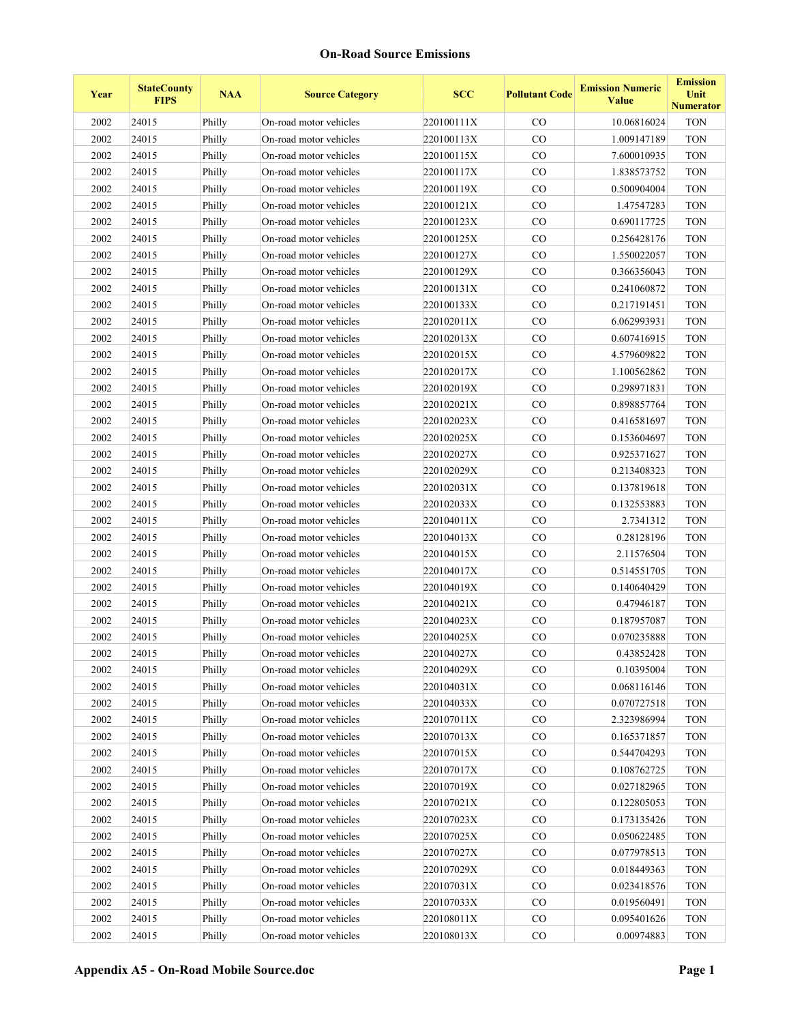| Year | <b>StateCounty</b><br><b>FIPS</b> | <b>NAA</b> | <b>Source Category</b> | <b>SCC</b> | <b>Pollutant Code</b> | <b>Emission Numeric</b><br><b>Value</b> | <b>Emission</b><br>Unit<br><b>Numerator</b> |
|------|-----------------------------------|------------|------------------------|------------|-----------------------|-----------------------------------------|---------------------------------------------|
| 2002 | 24015                             | Philly     | On-road motor vehicles | 220100111X | $\rm CO$              | 10.06816024                             | <b>TON</b>                                  |
| 2002 | 24015                             | Philly     | On-road motor vehicles | 220100113X | $\rm CO$              | 1.009147189                             | <b>TON</b>                                  |
| 2002 | 24015                             | Philly     | On-road motor vehicles | 220100115X | CO                    | 7.600010935                             | <b>TON</b>                                  |
| 2002 | 24015                             | Philly     | On-road motor vehicles | 220100117X | CO                    | 1.838573752                             | <b>TON</b>                                  |
| 2002 | 24015                             | Philly     | On-road motor vehicles | 220100119X | CO                    | 0.500904004                             | <b>TON</b>                                  |
| 2002 | 24015                             | Philly     | On-road motor vehicles | 220100121X | CO                    | 1.47547283                              | <b>TON</b>                                  |
| 2002 | 24015                             | Philly     | On-road motor vehicles | 220100123X | $\rm CO$              | 0.690117725                             | <b>TON</b>                                  |
| 2002 | 24015                             | Philly     | On-road motor vehicles | 220100125X | CO                    | 0.256428176                             | <b>TON</b>                                  |
| 2002 | 24015                             | Philly     | On-road motor vehicles | 220100127X | $\rm CO$              | 1.550022057                             | <b>TON</b>                                  |
| 2002 | 24015                             | Philly     | On-road motor vehicles | 220100129X | CO                    | 0.366356043                             | <b>TON</b>                                  |
| 2002 | 24015                             | Philly     | On-road motor vehicles | 220100131X | CO                    | 0.241060872                             | <b>TON</b>                                  |
| 2002 | 24015                             | Philly     | On-road motor vehicles | 220100133X | CO                    | 0.217191451                             | <b>TON</b>                                  |
| 2002 | 24015                             | Philly     | On-road motor vehicles | 220102011X | CO                    | 6.062993931                             | <b>TON</b>                                  |
| 2002 | 24015                             | Philly     | On-road motor vehicles | 220102013X | CO                    | 0.607416915                             | <b>TON</b>                                  |
| 2002 | 24015                             | Philly     | On-road motor vehicles | 220102015X | CO                    | 4.579609822                             | <b>TON</b>                                  |
| 2002 | 24015                             | Philly     | On-road motor vehicles | 220102017X | $\rm CO$              | 1.100562862                             | <b>TON</b>                                  |
| 2002 | 24015                             | Philly     | On-road motor vehicles | 220102019X | CO                    | 0.298971831                             | <b>TON</b>                                  |
| 2002 | 24015                             | Philly     | On-road motor vehicles | 220102021X | CO                    | 0.898857764                             | <b>TON</b>                                  |
| 2002 | 24015                             | Philly     | On-road motor vehicles | 220102023X | CO                    | 0.416581697                             | <b>TON</b>                                  |
| 2002 | 24015                             | Philly     | On-road motor vehicles | 220102025X | CO                    | 0.153604697                             | <b>TON</b>                                  |
| 2002 | 24015                             | Philly     | On-road motor vehicles | 220102027X | $\rm CO$              | 0.925371627                             | <b>TON</b>                                  |
| 2002 | 24015                             | Philly     | On-road motor vehicles | 220102029X | CO                    | 0.213408323                             | <b>TON</b>                                  |
| 2002 | 24015                             | Philly     | On-road motor vehicles | 220102031X | $\rm CO$              | 0.137819618                             | <b>TON</b>                                  |
| 2002 | 24015                             | Philly     | On-road motor vehicles | 220102033X | CO                    | 0.132553883                             | <b>TON</b>                                  |
| 2002 | 24015                             | Philly     | On-road motor vehicles | 220104011X | CO                    | 2.7341312                               | <b>TON</b>                                  |
| 2002 | 24015                             | Philly     | On-road motor vehicles | 220104013X | $\rm CO$              | 0.28128196                              | <b>TON</b>                                  |
| 2002 | 24015                             | Philly     | On-road motor vehicles | 220104015X | CO                    | 2.11576504                              | <b>TON</b>                                  |
| 2002 | 24015                             | Philly     | On-road motor vehicles | 220104017X | $\rm CO$              | 0.514551705                             | <b>TON</b>                                  |
| 2002 | 24015                             | Philly     | On-road motor vehicles | 220104019X | $\rm CO$              | 0.140640429                             | <b>TON</b>                                  |
| 2002 | 24015                             | Philly     | On-road motor vehicles | 220104021X | $\rm CO$              | 0.47946187                              | <b>TON</b>                                  |
| 2002 | 24015                             | Philly     | On-road motor vehicles | 220104023X | CO                    | 0.187957087                             | <b>TON</b>                                  |
| 2002 | 24015                             | Philly     | On-road motor vehicles | 220104025X | CO                    | 0.070235888                             | <b>TON</b>                                  |
| 2002 | 24015                             | Philly     | On-road motor vehicles | 220104027X | $_{\rm CO}$           | 0.43852428                              | <b>TON</b>                                  |
| 2002 | 24015                             | Philly     | On-road motor vehicles | 220104029X | $\rm CO$              | 0.10395004                              | <b>TON</b>                                  |
| 2002 | 24015                             | Philly     | On-road motor vehicles | 220104031X | $\rm CO$              | 0.068116146                             | <b>TON</b>                                  |
| 2002 | 24015                             | Philly     | On-road motor vehicles | 220104033X | $_{\rm CO}$           | 0.070727518                             | <b>TON</b>                                  |
| 2002 | 24015                             | Philly     | On-road motor vehicles | 220107011X | CO                    | 2.323986994                             | <b>TON</b>                                  |
| 2002 | 24015                             | Philly     | On-road motor vehicles | 220107013X | CO                    | 0.165371857                             | <b>TON</b>                                  |
| 2002 | 24015                             | Philly     | On-road motor vehicles | 220107015X | CO                    | 0.544704293                             | <b>TON</b>                                  |
| 2002 | 24015                             | Philly     | On-road motor vehicles | 220107017X | CO                    | 0.108762725                             | <b>TON</b>                                  |
| 2002 | 24015                             | Philly     | On-road motor vehicles | 220107019X | CO                    | 0.027182965                             | <b>TON</b>                                  |
| 2002 | 24015                             | Philly     | On-road motor vehicles | 220107021X | $\rm CO$              | 0.122805053                             | <b>TON</b>                                  |
| 2002 | 24015                             | Philly     | On-road motor vehicles | 220107023X | $_{\rm CO}$           | 0.173135426                             | <b>TON</b>                                  |
| 2002 | 24015                             | Philly     | On-road motor vehicles | 220107025X | CO                    | 0.050622485                             | <b>TON</b>                                  |
| 2002 | 24015                             | Philly     | On-road motor vehicles | 220107027X | CO                    | 0.077978513                             | <b>TON</b>                                  |
| 2002 | 24015                             | Philly     | On-road motor vehicles | 220107029X | CO                    | 0.018449363                             | <b>TON</b>                                  |
| 2002 | 24015                             | Philly     | On-road motor vehicles | 220107031X | CO                    | 0.023418576                             | <b>TON</b>                                  |
| 2002 | 24015                             | Philly     | On-road motor vehicles | 220107033X | $_{\rm CO}$           | 0.019560491                             | <b>TON</b>                                  |
| 2002 | 24015                             | Philly     | On-road motor vehicles | 220108011X | CO                    | 0.095401626                             | <b>TON</b>                                  |
| 2002 | 24015                             | Philly     | On-road motor vehicles | 220108013X | CO                    | 0.00974883                              | <b>TON</b>                                  |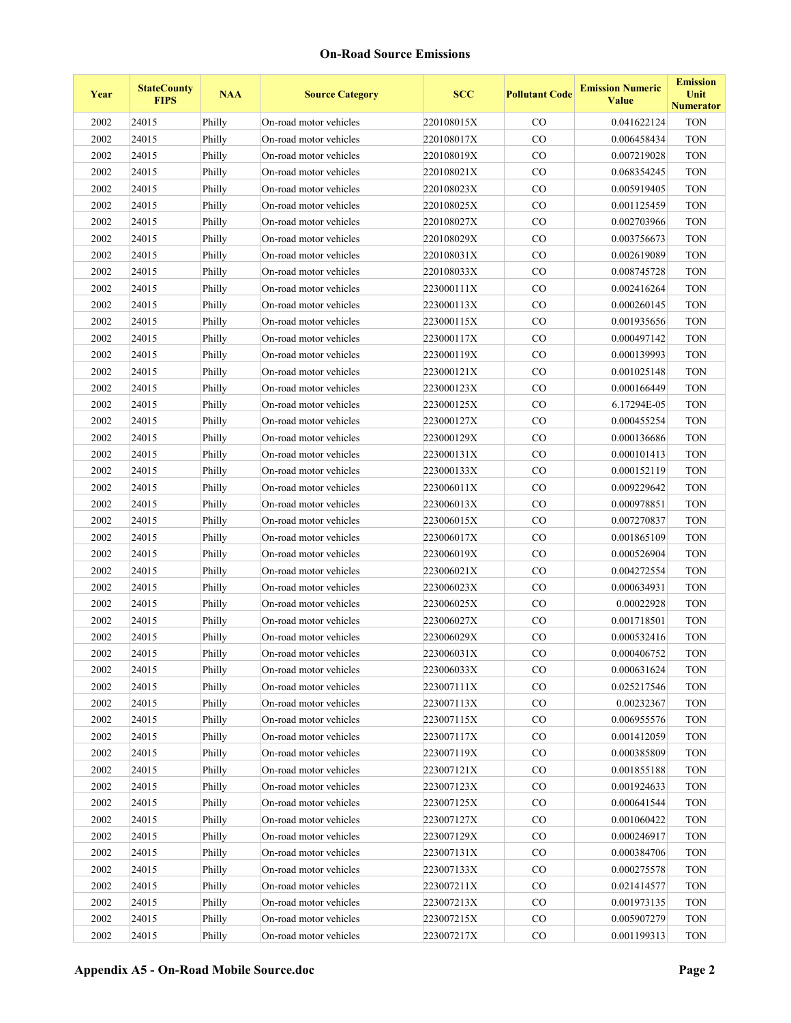| Year     | <b>StateCounty</b><br><b>FIPS</b> | <b>NAA</b> | <b>Source Category</b> | <b>SCC</b> | <b>Pollutant Code</b> | <b>Emission Numeric</b><br><b>Value</b> | <b>Emission</b><br>Unit<br><b>Numerator</b> |
|----------|-----------------------------------|------------|------------------------|------------|-----------------------|-----------------------------------------|---------------------------------------------|
| 2002     | 24015                             | Philly     | On-road motor vehicles | 220108015X | $\rm CO$              | 0.041622124                             | <b>TON</b>                                  |
| 2002     | 24015                             | Philly     | On-road motor vehicles | 220108017X | $\rm CO$              | 0.006458434                             | <b>TON</b>                                  |
| 2002     | 24015                             | Philly     | On-road motor vehicles | 220108019X | CO                    | 0.007219028                             | <b>TON</b>                                  |
| 2002     | 24015                             | Philly     | On-road motor vehicles | 220108021X | CO                    | 0.068354245                             | <b>TON</b>                                  |
| 2002     | 24015                             | Philly     | On-road motor vehicles | 220108023X | CO                    | 0.005919405                             | <b>TON</b>                                  |
| 2002     | 24015                             | Philly     | On-road motor vehicles | 220108025X | CO                    | 0.001125459                             | <b>TON</b>                                  |
| 2002     | 24015                             | Philly     | On-road motor vehicles | 220108027X | $\rm CO$              | 0.002703966                             | <b>TON</b>                                  |
| 2002     | 24015                             | Philly     | On-road motor vehicles | 220108029X | $\rm CO$              | 0.003756673                             | <b>TON</b>                                  |
| 2002     | 24015                             | Philly     | On-road motor vehicles | 220108031X | $\rm CO$              | 0.002619089                             | <b>TON</b>                                  |
| 2002     | 24015                             | Philly     | On-road motor vehicles | 220108033X | $\rm CO$              | 0.008745728                             | <b>TON</b>                                  |
| 2002     | 24015                             | Philly     | On-road motor vehicles | 223000111X | CO                    | 0.002416264                             | <b>TON</b>                                  |
| 2002     | 24015                             | Philly     | On-road motor vehicles | 223000113X | $\rm CO$              | 0.000260145                             | <b>TON</b>                                  |
| 2002     | 24015                             | Philly     | On-road motor vehicles | 223000115X | CO                    | 0.001935656                             | <b>TON</b>                                  |
| 2002     | 24015                             | Philly     | On-road motor vehicles | 223000117X | $\rm CO$              | 0.000497142                             | <b>TON</b>                                  |
| 2002     | 24015                             | Philly     | On-road motor vehicles | 223000119X | CO                    | 0.000139993                             | <b>TON</b>                                  |
| 2002     | 24015                             | Philly     | On-road motor vehicles | 223000121X | $\rm CO$              | 0.001025148                             | <b>TON</b>                                  |
| 2002     | 24015                             | Philly     | On-road motor vehicles | 223000123X | CO                    | 0.000166449                             | <b>TON</b>                                  |
| 2002     | 24015                             | Philly     | On-road motor vehicles | 223000125X | CO                    | 6.17294E-05                             | <b>TON</b>                                  |
| 2002     | 24015                             | Philly     | On-road motor vehicles | 223000127X | CO                    | 0.000455254                             | <b>TON</b>                                  |
| 2002     | 24015                             | Philly     | On-road motor vehicles | 223000129X | CO                    | 0.000136686                             | <b>TON</b>                                  |
| 2002     | 24015                             | Philly     | On-road motor vehicles | 223000131X | $\rm CO$              | 0.000101413                             | <b>TON</b>                                  |
| 2002     | 24015                             | Philly     | On-road motor vehicles | 223000133X | CO                    | 0.000152119                             | <b>TON</b>                                  |
| 2002     | 24015                             | Philly     | On-road motor vehicles | 223006011X | $\rm CO$              | 0.009229642                             | <b>TON</b>                                  |
| 2002     | 24015                             | Philly     | On-road motor vehicles | 223006013X | CO                    | 0.000978851                             | <b>TON</b>                                  |
| 2002     | 24015                             | Philly     | On-road motor vehicles | 223006015X | CO                    | 0.007270837                             | <b>TON</b>                                  |
| 2002     | 24015                             | Philly     | On-road motor vehicles | 223006017X | $\rm CO$              | 0.001865109                             | <b>TON</b>                                  |
| 2002     | 24015                             | Philly     | On-road motor vehicles | 223006019X | CO                    | 0.000526904                             | <b>TON</b>                                  |
| 2002     | 24015                             | Philly     | On-road motor vehicles | 223006021X | $\rm CO$              | 0.004272554                             | <b>TON</b>                                  |
| 2002     | 24015                             | Philly     | On-road motor vehicles | 223006023X | $\rm CO$              | 0.000634931                             | <b>TON</b>                                  |
| 2002     | 24015                             | Philly     | On-road motor vehicles | 223006025X | $\rm CO$              | 0.00022928                              | <b>TON</b>                                  |
| 2002     | 24015                             | Philly     | On-road motor vehicles | 223006027X | $\rm CO$              | 0.001718501                             | <b>TON</b>                                  |
| 2002     | 24015                             | Philly     | On-road motor vehicles | 223006029X | CO                    | 0.000532416                             | <b>TON</b>                                  |
| $2002\,$ | 24015                             | Philly     | On-road motor vehicles | 223006031X | $_{\rm CO}$           | 0.000406752                             | <b>TON</b>                                  |
| 2002     | 24015                             | Philly     | On-road motor vehicles | 223006033X | $\rm CO$              | 0.000631624                             | <b>TON</b>                                  |
| 2002     | 24015                             | Philly     | On-road motor vehicles | 223007111X | CO                    | 0.025217546                             | <b>TON</b>                                  |
| 2002     | 24015                             | Philly     | On-road motor vehicles | 223007113X | CO                    | 0.00232367                              | <b>TON</b>                                  |
| 2002     | 24015                             | Philly     | On-road motor vehicles | 223007115X | CO                    | 0.006955576                             | <b>TON</b>                                  |
| 2002     | 24015                             | Philly     | On-road motor vehicles | 223007117X | CO                    | 0.001412059                             | <b>TON</b>                                  |
| 2002     | 24015                             | Philly     | On-road motor vehicles | 223007119X | CO                    | 0.000385809                             | <b>TON</b>                                  |
| 2002     | 24015                             | Philly     | On-road motor vehicles | 223007121X | CO                    | 0.001855188                             | <b>TON</b>                                  |
| 2002     | 24015                             | Philly     | On-road motor vehicles | 223007123X | CO                    | 0.001924633                             | <b>TON</b>                                  |
| 2002     | 24015                             | Philly     | On-road motor vehicles | 223007125X | $\rm CO$              | 0.000641544                             | <b>TON</b>                                  |
| 2002     | 24015                             | Philly     | On-road motor vehicles | 223007127X | CO                    | 0.001060422                             | <b>TON</b>                                  |
| 2002     | 24015                             | Philly     | On-road motor vehicles | 223007129X | CO                    | 0.000246917                             | <b>TON</b>                                  |
| 2002     | 24015                             | Philly     | On-road motor vehicles | 223007131X | CO                    | 0.000384706                             | <b>TON</b>                                  |
| 2002     | 24015                             | Philly     | On-road motor vehicles | 223007133X | CO                    | 0.000275578                             | <b>TON</b>                                  |
| 2002     | 24015                             | Philly     | On-road motor vehicles | 223007211X | CO                    | 0.021414577                             | <b>TON</b>                                  |
| 2002     | 24015                             | Philly     | On-road motor vehicles | 223007213X | CO                    | 0.001973135                             | <b>TON</b>                                  |
| 2002     | 24015                             | Philly     | On-road motor vehicles | 223007215X | CO                    | 0.005907279                             | <b>TON</b>                                  |
| 2002     | 24015                             | Philly     | On-road motor vehicles | 223007217X | CO                    | 0.001199313                             | <b>TON</b>                                  |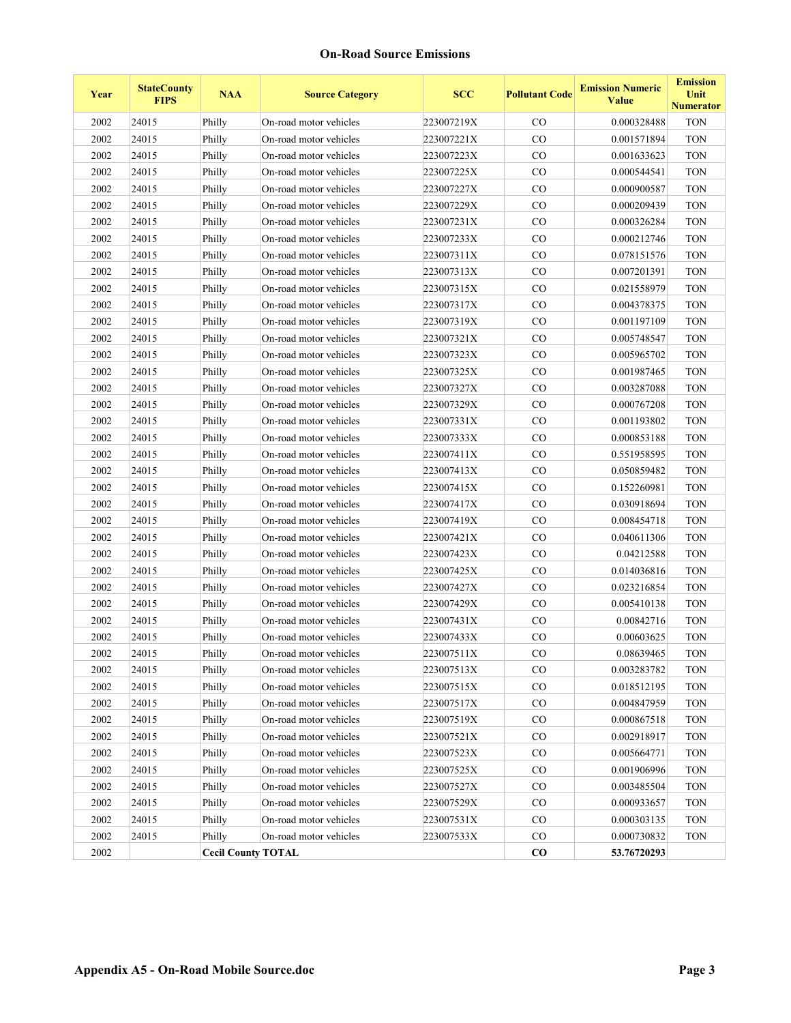| Year | <b>StateCounty</b><br><b>FIPS</b> | <b>NAA</b>                | <b>Source Category</b> | <b>SCC</b> | <b>Pollutant Code</b> | <b>Emission Numeric</b><br><b>Value</b> | <b>Emission</b><br>Unit<br><b>Numerator</b> |
|------|-----------------------------------|---------------------------|------------------------|------------|-----------------------|-----------------------------------------|---------------------------------------------|
| 2002 | 24015                             | Philly                    | On-road motor vehicles | 223007219X | $\rm CO$              | 0.000328488                             | <b>TON</b>                                  |
| 2002 | 24015                             | Philly                    | On-road motor vehicles | 223007221X | CO                    | 0.001571894                             | <b>TON</b>                                  |
| 2002 | 24015                             | Philly                    | On-road motor vehicles | 223007223X | CO                    | 0.001633623                             | <b>TON</b>                                  |
| 2002 | 24015                             | Philly                    | On-road motor vehicles | 223007225X | CO                    | 0.000544541                             | <b>TON</b>                                  |
| 2002 | 24015                             | Philly                    | On-road motor vehicles | 223007227X | CO                    | 0.000900587                             | <b>TON</b>                                  |
| 2002 | 24015                             | Philly                    | On-road motor vehicles | 223007229X | CO                    | 0.000209439                             | <b>TON</b>                                  |
| 2002 | 24015                             | Philly                    | On-road motor vehicles | 223007231X | CO                    | 0.000326284                             | <b>TON</b>                                  |
| 2002 | 24015                             | Philly                    | On-road motor vehicles | 223007233X | $\rm CO$              | 0.000212746                             | <b>TON</b>                                  |
| 2002 | 24015                             | Philly                    | On-road motor vehicles | 223007311X | CO                    | 0.078151576                             | <b>TON</b>                                  |
| 2002 | 24015                             | Philly                    | On-road motor vehicles | 223007313X | CO                    | 0.007201391                             | <b>TON</b>                                  |
| 2002 | 24015                             | Philly                    | On-road motor vehicles | 223007315X | CO                    | 0.021558979                             | <b>TON</b>                                  |
| 2002 | 24015                             | Philly                    | On-road motor vehicles | 223007317X | CO                    | 0.004378375                             | <b>TON</b>                                  |
| 2002 | 24015                             | Philly                    | On-road motor vehicles | 223007319X | CO                    | 0.001197109                             | <b>TON</b>                                  |
| 2002 | 24015                             | Philly                    | On-road motor vehicles | 223007321X | CO                    | 0.005748547                             | <b>TON</b>                                  |
| 2002 | 24015                             | Philly                    | On-road motor vehicles | 223007323X | $\rm CO$              | 0.005965702                             | <b>TON</b>                                  |
| 2002 | 24015                             | Philly                    | On-road motor vehicles | 223007325X | $\rm CO$              | 0.001987465                             | <b>TON</b>                                  |
| 2002 | 24015                             | Philly                    | On-road motor vehicles | 223007327X | CO                    | 0.003287088                             | <b>TON</b>                                  |
| 2002 | 24015                             | Philly                    | On-road motor vehicles | 223007329X | CO                    | 0.000767208                             | <b>TON</b>                                  |
| 2002 | 24015                             | Philly                    | On-road motor vehicles | 223007331X | CO                    | 0.001193802                             | <b>TON</b>                                  |
| 2002 | 24015                             | Philly                    | On-road motor vehicles | 223007333X | CO                    | 0.000853188                             | <b>TON</b>                                  |
| 2002 | 24015                             | Philly                    | On-road motor vehicles | 223007411X | $\rm CO$              | 0.551958595                             | <b>TON</b>                                  |
| 2002 | 24015                             | Philly                    | On-road motor vehicles | 223007413X | $\rm CO$              | 0.050859482                             | <b>TON</b>                                  |
| 2002 | 24015                             | Philly                    | On-road motor vehicles | 223007415X | $\rm CO$              | 0.152260981                             | <b>TON</b>                                  |
| 2002 | 24015                             | Philly                    | On-road motor vehicles | 223007417X | $\rm CO$              | 0.030918694                             | <b>TON</b>                                  |
| 2002 | 24015                             | Philly                    | On-road motor vehicles | 223007419X | CO                    | 0.008454718                             | <b>TON</b>                                  |
| 2002 | 24015                             | Philly                    | On-road motor vehicles | 223007421X | $\rm CO$              | 0.040611306                             | <b>TON</b>                                  |
| 2002 | 24015                             | Philly                    | On-road motor vehicles | 223007423X | CO                    | 0.04212588                              | <b>TON</b>                                  |
| 2002 | 24015                             | Philly                    | On-road motor vehicles | 223007425X | CO                    | 0.014036816                             | <b>TON</b>                                  |
| 2002 | 24015                             | Philly                    | On-road motor vehicles | 223007427X | $\rm CO$              | 0.023216854                             | <b>TON</b>                                  |
| 2002 | 24015                             | Philly                    | On-road motor vehicles | 223007429X | $\rm CO$              | 0.005410138                             | <b>TON</b>                                  |
| 2002 | 24015                             | Philly                    | On-road motor vehicles | 223007431X | $\rm CO$              | 0.00842716                              | <b>TON</b>                                  |
| 2002 | 24015                             | Philly                    | On-road motor vehicles | 223007433X | CO                    | 0.00603625                              | <b>TON</b>                                  |
| 2002 | 24015                             | Philly                    | On-road motor vehicles | 223007511X | $_{\rm CO}$           | 0.08639465                              | <b>TON</b>                                  |
| 2002 | 24015                             | Philly                    | On-road motor vehicles | 223007513X | CO                    | 0.003283782                             | <b>TON</b>                                  |
| 2002 | 24015                             | Philly                    | On-road motor vehicles | 223007515X | CO                    | 0.018512195                             | <b>TON</b>                                  |
| 2002 | 24015                             | Philly                    | On-road motor vehicles | 223007517X | CO                    | 0.004847959                             | <b>TON</b>                                  |
| 2002 | 24015                             | Philly                    | On-road motor vehicles | 223007519X | CO                    | 0.000867518                             | <b>TON</b>                                  |
| 2002 | 24015                             | Philly                    | On-road motor vehicles | 223007521X | $\rm CO$              | 0.002918917                             | <b>TON</b>                                  |
| 2002 | 24015                             | Philly                    | On-road motor vehicles | 223007523X | CO                    | 0.005664771                             | <b>TON</b>                                  |
| 2002 | 24015                             | Philly                    | On-road motor vehicles | 223007525X | $\rm CO$              | 0.001906996                             | <b>TON</b>                                  |
| 2002 | 24015                             | Philly                    | On-road motor vehicles | 223007527X | $_{\rm CO}$           | 0.003485504                             | <b>TON</b>                                  |
| 2002 | 24015                             | Philly                    | On-road motor vehicles | 223007529X | CO                    | 0.000933657                             | <b>TON</b>                                  |
| 2002 | 24015                             | Philly                    | On-road motor vehicles | 223007531X | CO                    | 0.000303135                             | <b>TON</b>                                  |
| 2002 | 24015                             | Philly                    | On-road motor vehicles | 223007533X | $_{\rm CO}$           | 0.000730832                             | <b>TON</b>                                  |
| 2002 |                                   | <b>Cecil County TOTAL</b> |                        |            | $\bf{CO}$             | 53.76720293                             |                                             |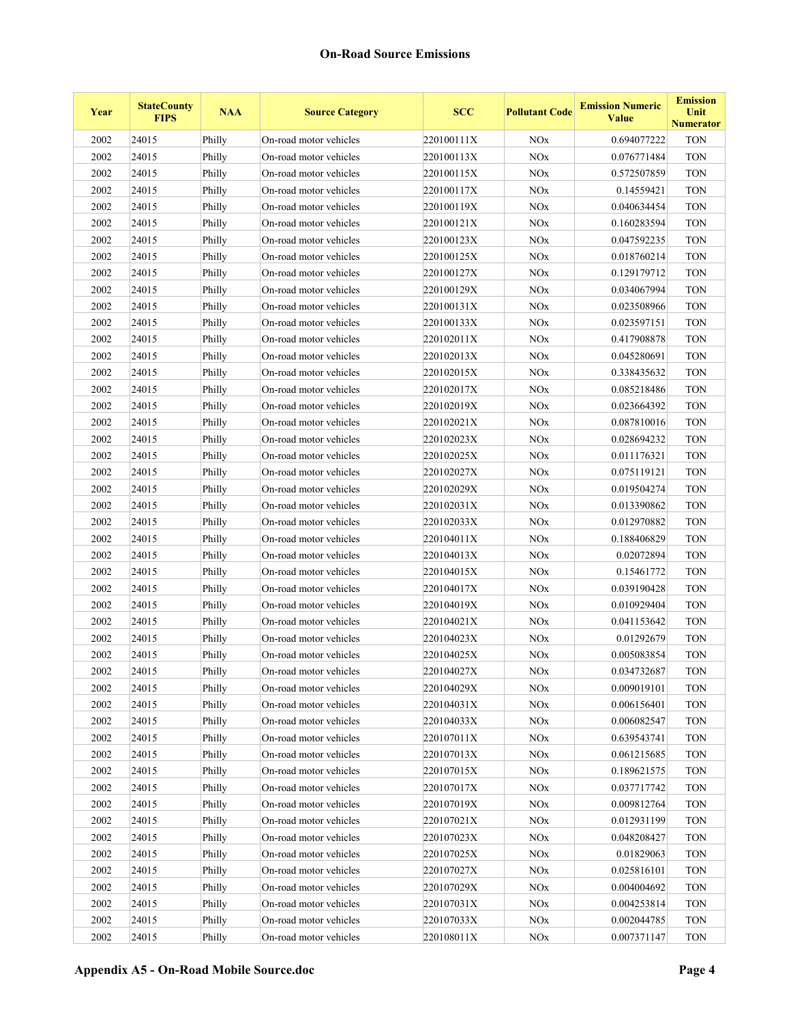| Year | <b>StateCounty</b><br><b>FIPS</b> | <b>NAA</b> | <b>Source Category</b> | <b>SCC</b> | <b>Pollutant Code</b> | <b>Emission Numeric</b><br><b>Value</b> | <b>Emission</b><br>Unit<br><b>Numerator</b> |
|------|-----------------------------------|------------|------------------------|------------|-----------------------|-----------------------------------------|---------------------------------------------|
| 2002 | 24015                             | Philly     | On-road motor vehicles | 220100111X | <b>NO<sub>x</sub></b> | 0.694077222                             | <b>TON</b>                                  |
| 2002 | 24015                             | Philly     | On-road motor vehicles | 220100113X | <b>NOx</b>            | 0.076771484                             | <b>TON</b>                                  |
| 2002 | 24015                             | Philly     | On-road motor vehicles | 220100115X | <b>NO<sub>x</sub></b> | 0.572507859                             | <b>TON</b>                                  |
| 2002 | 24015                             | Philly     | On-road motor vehicles | 220100117X | NOx                   | 0.14559421                              | <b>TON</b>                                  |
| 2002 | 24015                             | Philly     | On-road motor vehicles | 220100119X | <b>NOx</b>            | 0.040634454                             | <b>TON</b>                                  |
| 2002 | 24015                             | Philly     | On-road motor vehicles | 220100121X | <b>NO</b> x           | 0.160283594                             | <b>TON</b>                                  |
| 2002 | 24015                             | Philly     | On-road motor vehicles | 220100123X | NOx                   | 0.047592235                             | <b>TON</b>                                  |
| 2002 | 24015                             | Philly     | On-road motor vehicles | 220100125X | <b>NO<sub>x</sub></b> | 0.018760214                             | <b>TON</b>                                  |
| 2002 | 24015                             | Philly     | On-road motor vehicles | 220100127X | <b>NO</b> x           | 0.129179712                             | <b>TON</b>                                  |
| 2002 | 24015                             | Philly     | On-road motor vehicles | 220100129X | <b>NOx</b>            | 0.034067994                             | <b>TON</b>                                  |
| 2002 | 24015                             | Philly     | On-road motor vehicles | 220100131X | <b>NOx</b>            | 0.023508966                             | <b>TON</b>                                  |
| 2002 | 24015                             | Philly     | On-road motor vehicles | 220100133X | <b>NO</b> x           | 0.023597151                             | <b>TON</b>                                  |
| 2002 | 24015                             | Philly     | On-road motor vehicles | 220102011X | NOx                   | 0.417908878                             | <b>TON</b>                                  |
| 2002 | 24015                             | Philly     | On-road motor vehicles | 220102013X | <b>NO</b> x           | 0.045280691                             | <b>TON</b>                                  |
| 2002 | 24015                             | Philly     | On-road motor vehicles | 220102015X | <b>NOx</b>            | 0.338435632                             | <b>TON</b>                                  |
| 2002 | 24015                             | Philly     | On-road motor vehicles | 220102017X | <b>NOx</b>            | 0.085218486                             | <b>TON</b>                                  |
| 2002 | 24015                             | Philly     | On-road motor vehicles | 220102019X | <b>NOx</b>            | 0.023664392                             | <b>TON</b>                                  |
| 2002 | 24015                             | Philly     | On-road motor vehicles | 220102021X | NOx                   | 0.087810016                             | <b>TON</b>                                  |
| 2002 | 24015                             | Philly     | On-road motor vehicles | 220102023X | <b>NOx</b>            | 0.028694232                             | <b>TON</b>                                  |
| 2002 | 24015                             | Philly     | On-road motor vehicles | 220102025X | NOx                   | 0.011176321                             | <b>TON</b>                                  |
| 2002 | 24015                             | Philly     | On-road motor vehicles | 220102027X | <b>NOx</b>            | 0.075119121                             | <b>TON</b>                                  |
| 2002 | 24015                             | Philly     | On-road motor vehicles | 220102029X | NOx                   | 0.019504274                             | <b>TON</b>                                  |
| 2002 | 24015                             | Philly     | On-road motor vehicles | 220102031X | <b>NO</b> x           | 0.013390862                             | <b>TON</b>                                  |
| 2002 | 24015                             | Philly     | On-road motor vehicles | 220102033X | <b>NOx</b>            | 0.012970882                             | <b>TON</b>                                  |
| 2002 | 24015                             | Philly     | On-road motor vehicles | 220104011X | <b>NOx</b>            | 0.188406829                             | <b>TON</b>                                  |
| 2002 | 24015                             | Philly     | On-road motor vehicles | 220104013X | <b>NOx</b>            | 0.02072894                              | <b>TON</b>                                  |
| 2002 | 24015                             | Philly     | On-road motor vehicles | 220104015X | NOx                   | 0.15461772                              | <b>TON</b>                                  |
| 2002 | 24015                             | Philly     | On-road motor vehicles | 220104017X | <b>NO</b> x           | 0.039190428                             | <b>TON</b>                                  |
| 2002 | 24015                             | Philly     | On-road motor vehicles | 220104019X | <b>NOx</b>            | 0.010929404                             | <b>TON</b>                                  |
| 2002 | 24015                             | Philly     | On-road motor vehicles | 220104021X | <b>NO</b> x           | 0.041153642                             | <b>TON</b>                                  |
| 2002 | 24015                             | Philly     | On-road motor vehicles | 220104023X | <b>NOx</b>            | 0.01292679                              | <b>TON</b>                                  |
| 2002 | 24015                             | Philly     | On-road motor vehicles | 220104025X | <b>NO</b> x           | 0.005083854                             | <b>TON</b>                                  |
| 2002 | 24015                             | Philly     | On-road motor vehicles | 220104027X | NOx                   | 0.034732687                             | <b>TON</b>                                  |
| 2002 | 24015                             | Philly     | On-road motor vehicles | 220104029X | <b>NOx</b>            | 0.009019101                             | <b>TON</b>                                  |
| 2002 | 24015                             | Philly     | On-road motor vehicles | 220104031X | <b>NOx</b>            | 0.006156401                             | <b>TON</b>                                  |
| 2002 | 24015                             | Philly     | On-road motor vehicles | 220104033X | NOx                   | 0.006082547                             | <b>TON</b>                                  |
| 2002 | 24015                             | Philly     | On-road motor vehicles | 220107011X | NOx                   | 0.639543741                             | <b>TON</b>                                  |
| 2002 | 24015                             | Philly     | On-road motor vehicles | 220107013X | <b>NOx</b>            | 0.061215685                             | <b>TON</b>                                  |
| 2002 | 24015                             | Philly     | On-road motor vehicles | 220107015X | NOx                   | 0.189621575                             | <b>TON</b>                                  |
| 2002 | 24015                             | Philly     | On-road motor vehicles | 220107017X | NOx                   | 0.037717742                             | <b>TON</b>                                  |
| 2002 | 24015                             | Philly     | On-road motor vehicles | 220107019X | $\rm NOx$             | 0.009812764                             | <b>TON</b>                                  |
| 2002 | 24015                             | Philly     | On-road motor vehicles | 220107021X | NOx                   | 0.012931199                             | <b>TON</b>                                  |
| 2002 | 24015                             | Philly     | On-road motor vehicles | 220107023X | NOx                   | 0.048208427                             | <b>TON</b>                                  |
| 2002 | 24015                             | Philly     | On-road motor vehicles | 220107025X | NOx                   | 0.01829063                              | <b>TON</b>                                  |
| 2002 | 24015                             | Philly     | On-road motor vehicles | 220107027X | NOx                   | 0.025816101                             | <b>TON</b>                                  |
| 2002 | 24015                             | Philly     | On-road motor vehicles | 220107029X | NOx                   | 0.004004692                             | <b>TON</b>                                  |
| 2002 | 24015                             | Philly     | On-road motor vehicles | 220107031X | NOx                   | 0.004253814                             | <b>TON</b>                                  |
| 2002 | 24015                             | Philly     | On-road motor vehicles | 220107033X | NOx                   | 0.002044785                             | <b>TON</b>                                  |
| 2002 | 24015                             | Philly     | On-road motor vehicles | 220108011X | <b>NO</b> x           | 0.007371147                             | <b>TON</b>                                  |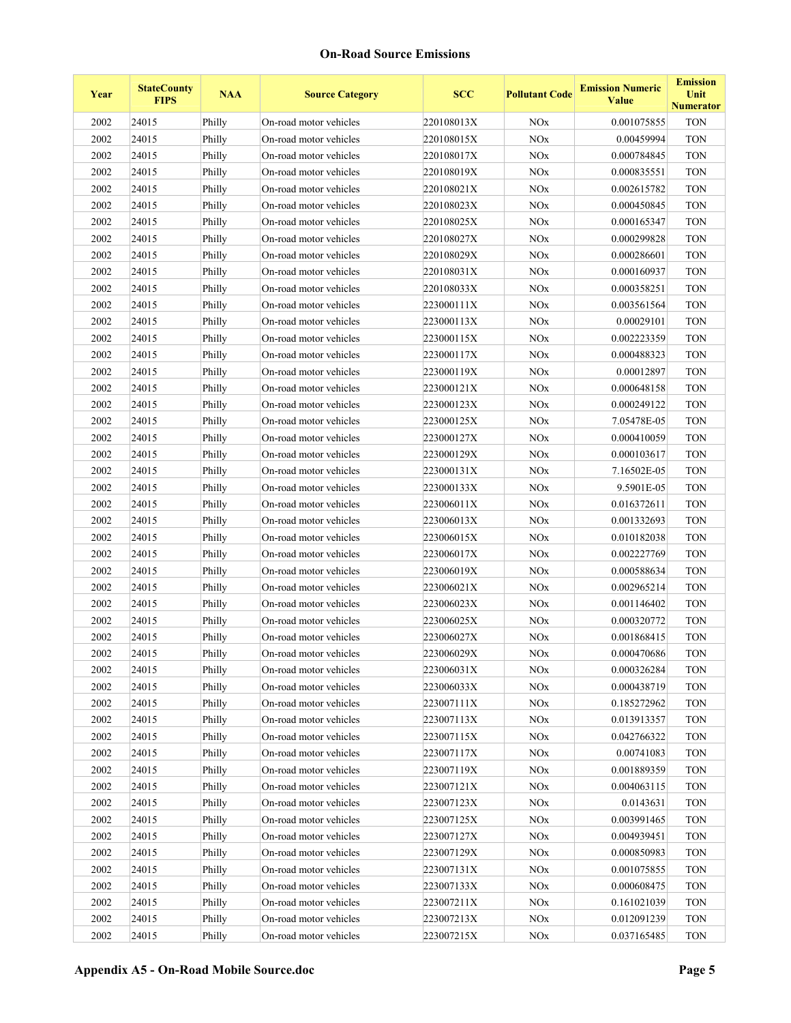| Year     | <b>StateCounty</b><br><b>FIPS</b> | <b>NAA</b> | <b>Source Category</b> | <b>SCC</b> | <b>Pollutant Code</b> | <b>Emission Numeric</b><br><b>Value</b> | <b>Emission</b><br>Unit<br><b>Numerator</b> |
|----------|-----------------------------------|------------|------------------------|------------|-----------------------|-----------------------------------------|---------------------------------------------|
| 2002     | 24015                             | Philly     | On-road motor vehicles | 220108013X | <b>NO<sub>x</sub></b> | 0.001075855                             | <b>TON</b>                                  |
| 2002     | 24015                             | Philly     | On-road motor vehicles | 220108015X | $\rm NOx$             | 0.00459994                              | <b>TON</b>                                  |
| 2002     | 24015                             | Philly     | On-road motor vehicles | 220108017X | <b>NO<sub>x</sub></b> | 0.000784845                             | <b>TON</b>                                  |
| 2002     | 24015                             | Philly     | On-road motor vehicles | 220108019X | <b>NO<sub>x</sub></b> | 0.000835551                             | <b>TON</b>                                  |
| 2002     | 24015                             | Philly     | On-road motor vehicles | 220108021X | <b>NO<sub>x</sub></b> | 0.002615782                             | <b>TON</b>                                  |
| 2002     | 24015                             | Philly     | On-road motor vehicles | 220108023X | <b>NO<sub>x</sub></b> | 0.000450845                             | <b>TON</b>                                  |
| 2002     | 24015                             | Philly     | On-road motor vehicles | 220108025X | NOx                   | 0.000165347                             | <b>TON</b>                                  |
| 2002     | 24015                             | Philly     | On-road motor vehicles | 220108027X | <b>NO<sub>x</sub></b> | 0.000299828                             | <b>TON</b>                                  |
| 2002     | 24015                             | Philly     | On-road motor vehicles | 220108029X | $\rm NOx$             | 0.000286601                             | <b>TON</b>                                  |
| 2002     | 24015                             | Philly     | On-road motor vehicles | 220108031X | <b>NO<sub>x</sub></b> | 0.000160937                             | <b>TON</b>                                  |
| 2002     | 24015                             | Philly     | On-road motor vehicles | 220108033X | <b>NO<sub>x</sub></b> | 0.000358251                             | <b>TON</b>                                  |
| 2002     | 24015                             | Philly     | On-road motor vehicles | 223000111X | <b>NO<sub>x</sub></b> | 0.003561564                             | <b>TON</b>                                  |
| 2002     | 24015                             | Philly     | On-road motor vehicles | 223000113X | <b>NO<sub>x</sub></b> | 0.00029101                              | <b>TON</b>                                  |
| 2002     | 24015                             | Philly     | On-road motor vehicles | 223000115X | NOx                   | 0.002223359                             | <b>TON</b>                                  |
| 2002     | 24015                             | Philly     | On-road motor vehicles | 223000117X | <b>NO<sub>x</sub></b> | 0.000488323                             | <b>TON</b>                                  |
| 2002     | 24015                             | Philly     | On-road motor vehicles | 223000119X | $\rm NOx$             | 0.00012897                              | <b>TON</b>                                  |
| 2002     | 24015                             | Philly     | On-road motor vehicles | 223000121X | <b>NO<sub>x</sub></b> | 0.000648158                             | <b>TON</b>                                  |
| 2002     | 24015                             | Philly     | On-road motor vehicles | 223000123X | <b>NO<sub>x</sub></b> | 0.000249122                             | <b>TON</b>                                  |
| 2002     | 24015                             | Philly     | On-road motor vehicles | 223000125X | <b>NO<sub>x</sub></b> | 7.05478E-05                             | <b>TON</b>                                  |
| 2002     | 24015                             | Philly     | On-road motor vehicles | 223000127X | <b>NO<sub>x</sub></b> | 0.000410059                             | <b>TON</b>                                  |
| 2002     | 24015                             | Philly     | On-road motor vehicles | 223000129X | <b>NO<sub>x</sub></b> | 0.000103617                             | <b>TON</b>                                  |
| 2002     | 24015                             | Philly     | On-road motor vehicles | 223000131X | <b>NO<sub>x</sub></b> | 7.16502E-05                             | <b>TON</b>                                  |
| 2002     | 24015                             | Philly     | On-road motor vehicles | 223000133X | $\rm NOx$             | 9.5901E-05                              | <b>TON</b>                                  |
| 2002     | 24015                             | Philly     | On-road motor vehicles | 223006011X | <b>NO<sub>x</sub></b> | 0.016372611                             | <b>TON</b>                                  |
| 2002     | 24015                             | Philly     | On-road motor vehicles | 223006013X | <b>NO<sub>x</sub></b> | 0.001332693                             | <b>TON</b>                                  |
| 2002     | 24015                             | Philly     | On-road motor vehicles | 223006015X | NOx                   | 0.010182038                             | <b>TON</b>                                  |
| 2002     | 24015                             | Philly     | On-road motor vehicles | 223006017X | <b>NO<sub>x</sub></b> | 0.002227769                             | <b>TON</b>                                  |
| 2002     | 24015                             | Philly     | On-road motor vehicles | 223006019X | NOx                   | 0.000588634                             | <b>TON</b>                                  |
| 2002     | 24015                             | Philly     | On-road motor vehicles | 223006021X | NOx                   | 0.002965214                             | <b>TON</b>                                  |
| 2002     | 24015                             | Philly     | On-road motor vehicles | 223006023X | $\rm NOx$             | 0.001146402                             | <b>TON</b>                                  |
| 2002     | 24015                             | Philly     | On-road motor vehicles | 223006025X | <b>NO</b> x           | 0.000320772                             | <b>TON</b>                                  |
| 2002     | 24015                             | Philly     | On-road motor vehicles | 223006027X | NOx                   | 0.001868415                             | <b>TON</b>                                  |
| $2002\,$ | 24015                             | Philly     | On-road motor vehicles | 223006029X | $\rm NOx$             | 0.000470686                             | <b>TON</b>                                  |
| 2002     | 24015                             | Philly     | On-road motor vehicles | 223006031X | NOx                   | 0.000326284                             | <b>TON</b>                                  |
| 2002     | 24015                             | Philly     | On-road motor vehicles | 223006033X | NOx                   | 0.000438719                             | <b>TON</b>                                  |
| 2002     | 24015                             | Philly     | On-road motor vehicles | 223007111X | NOx                   | 0.185272962                             | <b>TON</b>                                  |
| 2002     | 24015                             | Philly     | On-road motor vehicles | 223007113X | NOx                   | 0.013913357                             | <b>TON</b>                                  |
| 2002     | 24015                             | Philly     | On-road motor vehicles | 223007115X | NOx                   | 0.042766322                             | <b>TON</b>                                  |
| 2002     | 24015                             | Philly     | On-road motor vehicles | 223007117X | NOx                   | 0.00741083                              | <b>TON</b>                                  |
| 2002     | 24015                             | Philly     | On-road motor vehicles | 223007119X | NOx                   | 0.001889359                             | <b>TON</b>                                  |
| 2002     | 24015                             | Philly     | On-road motor vehicles | 223007121X | NOx                   | 0.004063115                             | <b>TON</b>                                  |
| 2002     | 24015                             | Philly     | On-road motor vehicles | 223007123X | NOx                   | 0.0143631                               | <b>TON</b>                                  |
| 2002     | 24015                             | Philly     | On-road motor vehicles | 223007125X | NOx                   | 0.003991465                             | <b>TON</b>                                  |
| 2002     | 24015                             | Philly     | On-road motor vehicles | 223007127X | NOx                   | 0.004939451                             | <b>TON</b>                                  |
| 2002     | 24015                             | Philly     | On-road motor vehicles | 223007129X | NOx                   | 0.000850983                             | <b>TON</b>                                  |
| 2002     | 24015                             | Philly     | On-road motor vehicles | 223007131X | NOx                   | 0.001075855                             | <b>TON</b>                                  |
| 2002     | 24015                             | Philly     | On-road motor vehicles | 223007133X | <b>NOx</b>            | 0.000608475                             | <b>TON</b>                                  |
| 2002     | 24015                             | Philly     | On-road motor vehicles | 223007211X | <b>NOx</b>            | 0.161021039                             | <b>TON</b>                                  |
| 2002     | 24015                             | Philly     | On-road motor vehicles | 223007213X | <b>NOx</b>            | 0.012091239                             | <b>TON</b>                                  |
| 2002     | 24015                             | Philly     | On-road motor vehicles | 223007215X | NOx                   | 0.037165485                             | <b>TON</b>                                  |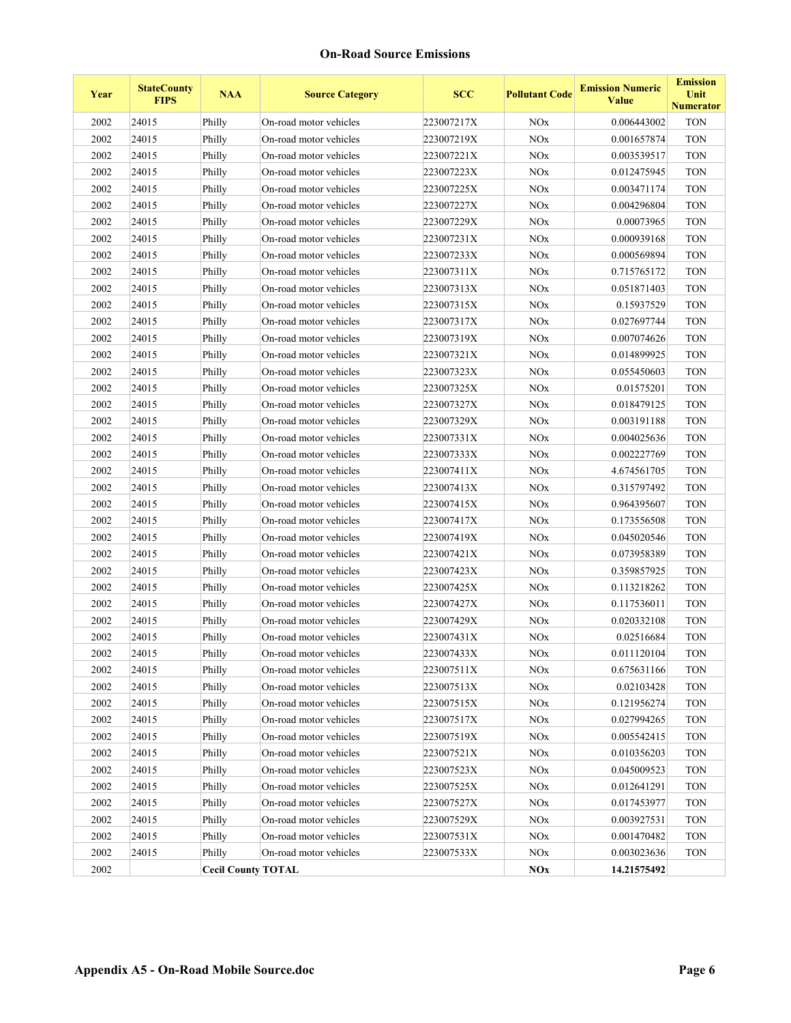| Year | <b>StateCounty</b><br><b>FIPS</b> | <b>NAA</b>                | <b>Source Category</b> | <b>SCC</b> | <b>Pollutant Code</b> | <b>Emission Numeric</b><br><b>Value</b> | <b>Emission</b><br>Unit<br><b>Numerator</b> |
|------|-----------------------------------|---------------------------|------------------------|------------|-----------------------|-----------------------------------------|---------------------------------------------|
| 2002 | 24015                             | Philly                    | On-road motor vehicles | 223007217X | <b>NOx</b>            | 0.006443002                             | <b>TON</b>                                  |
| 2002 | 24015                             | Philly                    | On-road motor vehicles | 223007219X | <b>NO<sub>x</sub></b> | 0.001657874                             | <b>TON</b>                                  |
| 2002 | 24015                             | Philly                    | On-road motor vehicles | 223007221X | NOx                   | 0.003539517                             | <b>TON</b>                                  |
| 2002 | 24015                             | Philly                    | On-road motor vehicles | 223007223X | <b>NO<sub>x</sub></b> | 0.012475945                             | <b>TON</b>                                  |
| 2002 | 24015                             | Philly                    | On-road motor vehicles | 223007225X | NOx                   | 0.003471174                             | <b>TON</b>                                  |
| 2002 | 24015                             | Philly                    | On-road motor vehicles | 223007227X | NOx                   | 0.004296804                             | <b>TON</b>                                  |
| 2002 | 24015                             | Philly                    | On-road motor vehicles | 223007229X | NOx                   | 0.00073965                              | <b>TON</b>                                  |
| 2002 | 24015                             | Philly                    | On-road motor vehicles | 223007231X | NOx                   | 0.000939168                             | <b>TON</b>                                  |
| 2002 | 24015                             | Philly                    | On-road motor vehicles | 223007233X | <b>NO<sub>x</sub></b> | 0.000569894                             | <b>TON</b>                                  |
| 2002 | 24015                             | Philly                    | On-road motor vehicles | 223007311X | NOx                   | 0.715765172                             | <b>TON</b>                                  |
| 2002 | 24015                             | Philly                    | On-road motor vehicles | 223007313X | <b>NO<sub>x</sub></b> | 0.051871403                             | <b>TON</b>                                  |
| 2002 | 24015                             | Philly                    | On-road motor vehicles | 223007315X | <b>NO<sub>x</sub></b> | 0.15937529                              | <b>TON</b>                                  |
| 2002 | 24015                             | Philly                    | On-road motor vehicles | 223007317X | <b>NO<sub>x</sub></b> | 0.027697744                             | <b>TON</b>                                  |
| 2002 | 24015                             | Philly                    | On-road motor vehicles | 223007319X | <b>NO<sub>x</sub></b> | 0.007074626                             | <b>TON</b>                                  |
| 2002 | 24015                             | Philly                    | On-road motor vehicles | 223007321X | NOx                   | 0.014899925                             | <b>TON</b>                                  |
| 2002 | 24015                             | Philly                    | On-road motor vehicles | 223007323X | <b>NO<sub>x</sub></b> | 0.055450603                             | <b>TON</b>                                  |
| 2002 | 24015                             | Philly                    | On-road motor vehicles | 223007325X | NOx                   | 0.01575201                              | <b>TON</b>                                  |
| 2002 | 24015                             | Philly                    | On-road motor vehicles | 223007327X | <b>NO<sub>x</sub></b> | 0.018479125                             | <b>TON</b>                                  |
| 2002 | 24015                             | Philly                    | On-road motor vehicles | 223007329X | <b>NO<sub>x</sub></b> | 0.003191188                             | <b>TON</b>                                  |
| 2002 | 24015                             | Philly                    | On-road motor vehicles | 223007331X | <b>NO<sub>x</sub></b> | 0.004025636                             | <b>TON</b>                                  |
| 2002 | 24015                             | Philly                    | On-road motor vehicles | 223007333X | <b>NO<sub>x</sub></b> | 0.002227769                             | <b>TON</b>                                  |
| 2002 | 24015                             | Philly                    | On-road motor vehicles | 223007411X | $\rm NOx$             | 4.674561705                             | <b>TON</b>                                  |
| 2002 | 24015                             | Philly                    | On-road motor vehicles | 223007413X | <b>NO<sub>x</sub></b> | 0.315797492                             | <b>TON</b>                                  |
| 2002 | 24015                             | Philly                    | On-road motor vehicles | 223007415X | <b>NO<sub>x</sub></b> | 0.964395607                             | <b>TON</b>                                  |
| 2002 | 24015                             | Philly                    | On-road motor vehicles | 223007417X | <b>NO<sub>x</sub></b> | 0.173556508                             | <b>TON</b>                                  |
| 2002 | 24015                             | Philly                    | On-road motor vehicles | 223007419X | <b>NO<sub>x</sub></b> | 0.045020546                             | <b>TON</b>                                  |
| 2002 | 24015                             | Philly                    | On-road motor vehicles | 223007421X | <b>NO<sub>x</sub></b> | 0.073958389                             | <b>TON</b>                                  |
| 2002 | 24015                             | Philly                    | On-road motor vehicles | 223007423X | <b>NO<sub>x</sub></b> | 0.359857925                             | <b>TON</b>                                  |
| 2002 | 24015                             | Philly                    | On-road motor vehicles | 223007425X | $\rm NOx$             | 0.113218262                             | <b>TON</b>                                  |
| 2002 | 24015                             | Philly                    | On-road motor vehicles | 223007427X | <b>NO<sub>x</sub></b> | 0.117536011                             | <b>TON</b>                                  |
| 2002 | 24015                             | Philly                    | On-road motor vehicles | 223007429X | NOx                   | 0.020332108                             | <b>TON</b>                                  |
| 2002 | 24015                             | Philly                    | On-road motor vehicles | 223007431X | <b>NOx</b>            | 0.02516684                              | <b>TON</b>                                  |
| 2002 | 24015                             | Philly                    | On-road motor vehicles | 223007433X | $\rm NOx$             | 0.011120104                             | <b>TON</b>                                  |
| 2002 | 24015                             | Philly                    | On-road motor vehicles | 223007511X | NOx                   | 0.675631166                             | <b>TON</b>                                  |
| 2002 | 24015                             | Philly                    | On-road motor vehicles | 223007513X | $\rm NOx$             | 0.02103428                              | <b>TON</b>                                  |
| 2002 | 24015                             | Philly                    | On-road motor vehicles | 223007515X | $\rm NOx$             | 0.121956274                             | <b>TON</b>                                  |
| 2002 | 24015                             | Philly                    | On-road motor vehicles | 223007517X | NOx                   | 0.027994265                             | <b>TON</b>                                  |
| 2002 | 24015                             | Philly                    | On-road motor vehicles | 223007519X | NOx                   | 0.005542415                             | <b>TON</b>                                  |
| 2002 | 24015                             | Philly                    | On-road motor vehicles | 223007521X | NOx                   | 0.010356203                             | <b>TON</b>                                  |
| 2002 | 24015                             | Philly                    | On-road motor vehicles | 223007523X | NOx                   | 0.045009523                             | <b>TON</b>                                  |
| 2002 | 24015                             | Philly                    | On-road motor vehicles | 223007525X | NOx                   | 0.012641291                             | <b>TON</b>                                  |
| 2002 | 24015                             | Philly                    | On-road motor vehicles | 223007527X | NOx                   | 0.017453977                             | <b>TON</b>                                  |
| 2002 | 24015                             | Philly                    | On-road motor vehicles | 223007529X | $\rm NOx$             | 0.003927531                             | <b>TON</b>                                  |
| 2002 | 24015                             | Philly                    | On-road motor vehicles | 223007531X | NOx                   | 0.001470482                             | <b>TON</b>                                  |
| 2002 | 24015                             | Philly                    | On-road motor vehicles | 223007533X | $\rm NOx$             | 0.003023636                             | <b>TON</b>                                  |
| 2002 |                                   | <b>Cecil County TOTAL</b> |                        |            | NOx                   | 14.21575492                             |                                             |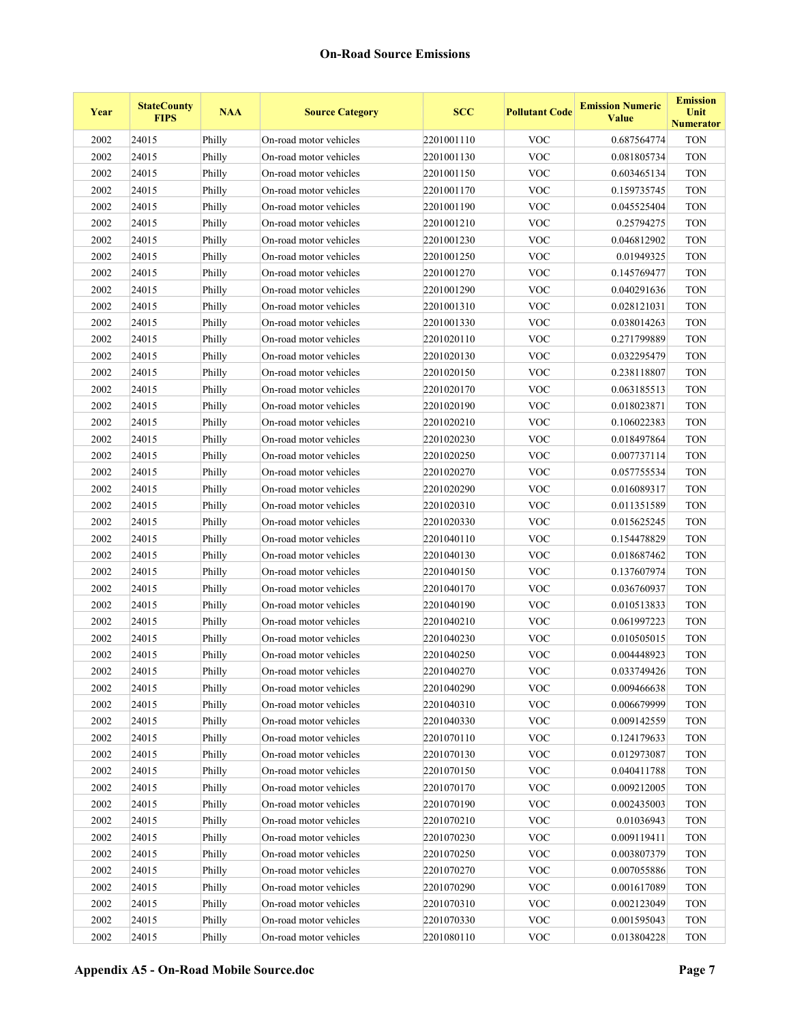| Year | <b>StateCounty</b><br><b>FIPS</b> | <b>NAA</b> | <b>Source Category</b> | <b>SCC</b> | <b>Pollutant Code</b> | <b>Emission Numeric</b><br><b>Value</b> | <b>Emission</b><br>Unit<br><b>Numerator</b> |
|------|-----------------------------------|------------|------------------------|------------|-----------------------|-----------------------------------------|---------------------------------------------|
| 2002 | 24015                             | Philly     | On-road motor vehicles | 2201001110 | <b>VOC</b>            | 0.687564774                             | <b>TON</b>                                  |
| 2002 | 24015                             | Philly     | On-road motor vehicles | 2201001130 | <b>VOC</b>            | 0.081805734                             | <b>TON</b>                                  |
| 2002 | 24015                             | Philly     | On-road motor vehicles | 2201001150 | <b>VOC</b>            | 0.603465134                             | <b>TON</b>                                  |
| 2002 | 24015                             | Philly     | On-road motor vehicles | 2201001170 | <b>VOC</b>            | 0.159735745                             | <b>TON</b>                                  |
| 2002 | 24015                             | Philly     | On-road motor vehicles | 2201001190 | <b>VOC</b>            | 0.045525404                             | <b>TON</b>                                  |
| 2002 | 24015                             | Philly     | On-road motor vehicles | 2201001210 | <b>VOC</b>            | 0.25794275                              | <b>TON</b>                                  |
| 2002 | 24015                             | Philly     | On-road motor vehicles | 2201001230 | <b>VOC</b>            | 0.046812902                             | <b>TON</b>                                  |
| 2002 | 24015                             | Philly     | On-road motor vehicles | 2201001250 | <b>VOC</b>            | 0.01949325                              | <b>TON</b>                                  |
| 2002 | 24015                             | Philly     | On-road motor vehicles | 2201001270 | <b>VOC</b>            | 0.145769477                             | <b>TON</b>                                  |
| 2002 | 24015                             | Philly     | On-road motor vehicles | 2201001290 | <b>VOC</b>            | 0.040291636                             | <b>TON</b>                                  |
| 2002 | 24015                             | Philly     | On-road motor vehicles | 2201001310 | <b>VOC</b>            | 0.028121031                             | <b>TON</b>                                  |
| 2002 | 24015                             | Philly     | On-road motor vehicles | 2201001330 | <b>VOC</b>            | 0.038014263                             | <b>TON</b>                                  |
| 2002 | 24015                             | Philly     | On-road motor vehicles | 2201020110 | <b>VOC</b>            | 0.271799889                             | <b>TON</b>                                  |
| 2002 | 24015                             | Philly     | On-road motor vehicles | 2201020130 | <b>VOC</b>            | 0.032295479                             | <b>TON</b>                                  |
| 2002 | 24015                             | Philly     | On-road motor vehicles | 2201020150 | <b>VOC</b>            | 0.238118807                             | <b>TON</b>                                  |
| 2002 | 24015                             | Philly     | On-road motor vehicles | 2201020170 | <b>VOC</b>            | 0.063185513                             | <b>TON</b>                                  |
| 2002 | 24015                             | Philly     | On-road motor vehicles | 2201020190 | <b>VOC</b>            | 0.018023871                             | <b>TON</b>                                  |
| 2002 | 24015                             | Philly     | On-road motor vehicles | 2201020210 | <b>VOC</b>            | 0.106022383                             | <b>TON</b>                                  |
| 2002 | 24015                             | Philly     | On-road motor vehicles | 2201020230 | <b>VOC</b>            | 0.018497864                             | <b>TON</b>                                  |
| 2002 | 24015                             | Philly     | On-road motor vehicles | 2201020250 | <b>VOC</b>            | 0.007737114                             | <b>TON</b>                                  |
| 2002 | 24015                             | Philly     | On-road motor vehicles | 2201020270 | <b>VOC</b>            | 0.057755534                             | <b>TON</b>                                  |
| 2002 | 24015                             | Philly     | On-road motor vehicles | 2201020290 | <b>VOC</b>            | 0.016089317                             | <b>TON</b>                                  |
| 2002 | 24015                             | Philly     | On-road motor vehicles | 2201020310 | <b>VOC</b>            | 0.011351589                             | <b>TON</b>                                  |
| 2002 | 24015                             | Philly     | On-road motor vehicles | 2201020330 | <b>VOC</b>            | 0.015625245                             | <b>TON</b>                                  |
| 2002 | 24015                             | Philly     | On-road motor vehicles | 2201040110 | <b>VOC</b>            | 0.154478829                             | <b>TON</b>                                  |
| 2002 | 24015                             | Philly     | On-road motor vehicles | 2201040130 | <b>VOC</b>            | 0.018687462                             | <b>TON</b>                                  |
| 2002 | 24015                             | Philly     | On-road motor vehicles | 2201040150 | <b>VOC</b>            | 0.137607974                             | <b>TON</b>                                  |
| 2002 | 24015                             | Philly     | On-road motor vehicles | 2201040170 | <b>VOC</b>            | 0.036760937                             | <b>TON</b>                                  |
| 2002 | 24015                             | Philly     | On-road motor vehicles | 2201040190 | <b>VOC</b>            | 0.010513833                             | <b>TON</b>                                  |
| 2002 | 24015                             | Philly     | On-road motor vehicles | 2201040210 | <b>VOC</b>            | 0.061997223                             | <b>TON</b>                                  |
| 2002 | 24015                             | Philly     | On-road motor vehicles | 2201040230 | <b>VOC</b>            | 0.010505015                             | <b>TON</b>                                  |
| 2002 | 24015                             | Philly     | On-road motor vehicles | 2201040250 | <b>VOC</b>            | 0.004448923                             | <b>TON</b>                                  |
| 2002 | 24015                             | Philly     | On-road motor vehicles | 2201040270 | <b>VOC</b>            | 0.033749426                             | <b>TON</b>                                  |
| 2002 | 24015                             | Philly     | On-road motor vehicles | 2201040290 | <b>VOC</b>            | 0.009466638                             | <b>TON</b>                                  |
| 2002 | 24015                             | Philly     | On-road motor vehicles | 2201040310 | <b>VOC</b>            | 0.006679999                             | <b>TON</b>                                  |
| 2002 | 24015                             | Philly     | On-road motor vehicles | 2201040330 | <b>VOC</b>            | 0.009142559                             | <b>TON</b>                                  |
| 2002 | 24015                             | Philly     | On-road motor vehicles | 2201070110 | <b>VOC</b>            | 0.124179633                             | <b>TON</b>                                  |
| 2002 | 24015                             | Philly     | On-road motor vehicles | 2201070130 | <b>VOC</b>            | 0.012973087                             | <b>TON</b>                                  |
| 2002 | 24015                             | Philly     | On-road motor vehicles | 2201070150 | <b>VOC</b>            | 0.040411788                             | <b>TON</b>                                  |
| 2002 | 24015                             | Philly     | On-road motor vehicles | 2201070170 | <b>VOC</b>            | 0.009212005                             | <b>TON</b>                                  |
| 2002 | 24015                             | Philly     | On-road motor vehicles | 2201070190 | <b>VOC</b>            | 0.002435003                             | <b>TON</b>                                  |
| 2002 | 24015                             | Philly     | On-road motor vehicles | 2201070210 | <b>VOC</b>            | 0.01036943                              | <b>TON</b>                                  |
| 2002 | 24015                             | Philly     | On-road motor vehicles | 2201070230 | <b>VOC</b>            | 0.009119411                             | <b>TON</b>                                  |
| 2002 | 24015                             | Philly     | On-road motor vehicles | 2201070250 | <b>VOC</b>            | 0.003807379                             | <b>TON</b>                                  |
| 2002 | 24015                             | Philly     | On-road motor vehicles | 2201070270 | <b>VOC</b>            | 0.007055886                             | <b>TON</b>                                  |
| 2002 | 24015                             | Philly     | On-road motor vehicles | 2201070290 | <b>VOC</b>            | 0.001617089                             | <b>TON</b>                                  |
| 2002 | 24015                             | Philly     | On-road motor vehicles | 2201070310 | <b>VOC</b>            | 0.002123049                             | <b>TON</b>                                  |
| 2002 | 24015                             | Philly     | On-road motor vehicles | 2201070330 | <b>VOC</b>            | 0.001595043                             | <b>TON</b>                                  |
| 2002 | 24015                             | Philly     | On-road motor vehicles | 2201080110 | <b>VOC</b>            | 0.013804228                             | <b>TON</b>                                  |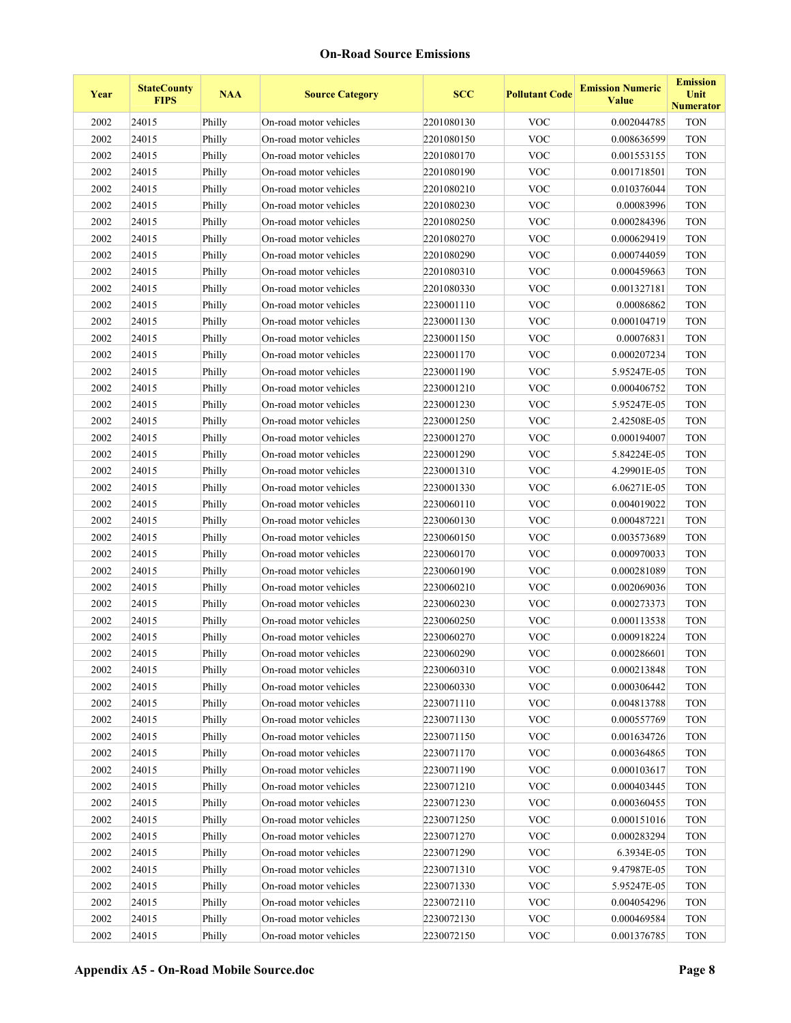| Year     | <b>StateCounty</b><br><b>FIPS</b> | <b>NAA</b> | <b>Source Category</b> | <b>SCC</b> | <b>Pollutant Code</b>     | <b>Emission Numeric</b><br>Value | <b>Emission</b><br>Unit<br><b>Numerator</b> |
|----------|-----------------------------------|------------|------------------------|------------|---------------------------|----------------------------------|---------------------------------------------|
| 2002     | 24015                             | Philly     | On-road motor vehicles | 2201080130 | <b>VOC</b>                | 0.002044785                      | <b>TON</b>                                  |
| 2002     | 24015                             | Philly     | On-road motor vehicles | 2201080150 | <b>VOC</b>                | 0.008636599                      | <b>TON</b>                                  |
| 2002     | 24015                             | Philly     | On-road motor vehicles | 2201080170 | <b>VOC</b>                | 0.001553155                      | <b>TON</b>                                  |
| 2002     | 24015                             | Philly     | On-road motor vehicles | 2201080190 | <b>VOC</b>                | 0.001718501                      | <b>TON</b>                                  |
| 2002     | 24015                             | Philly     | On-road motor vehicles | 2201080210 | <b>VOC</b>                | 0.010376044                      | <b>TON</b>                                  |
| 2002     | 24015                             | Philly     | On-road motor vehicles | 2201080230 | <b>VOC</b>                | 0.00083996                       | <b>TON</b>                                  |
| 2002     | 24015                             | Philly     | On-road motor vehicles | 2201080250 | <b>VOC</b>                | 0.000284396                      | <b>TON</b>                                  |
| 2002     | 24015                             | Philly     | On-road motor vehicles | 2201080270 | <b>VOC</b>                | 0.000629419                      | <b>TON</b>                                  |
| 2002     | 24015                             | Philly     | On-road motor vehicles | 2201080290 | <b>VOC</b>                | 0.000744059                      | <b>TON</b>                                  |
| 2002     | 24015                             | Philly     | On-road motor vehicles | 2201080310 | <b>VOC</b>                | 0.000459663                      | <b>TON</b>                                  |
| 2002     | 24015                             | Philly     | On-road motor vehicles | 2201080330 | <b>VOC</b>                | 0.001327181                      | <b>TON</b>                                  |
| 2002     | 24015                             | Philly     | On-road motor vehicles | 2230001110 | <b>VOC</b>                | 0.00086862                       | <b>TON</b>                                  |
| 2002     | 24015                             | Philly     | On-road motor vehicles | 2230001130 | <b>VOC</b>                | 0.000104719                      | <b>TON</b>                                  |
| 2002     | 24015                             | Philly     | On-road motor vehicles | 2230001150 | <b>VOC</b>                | 0.00076831                       | <b>TON</b>                                  |
| 2002     | 24015                             | Philly     | On-road motor vehicles | 2230001170 | <b>VOC</b>                | 0.000207234                      | <b>TON</b>                                  |
| 2002     | 24015                             | Philly     | On-road motor vehicles | 2230001190 | <b>VOC</b>                | 5.95247E-05                      | <b>TON</b>                                  |
| 2002     | 24015                             | Philly     | On-road motor vehicles | 2230001210 | <b>VOC</b>                | 0.000406752                      | <b>TON</b>                                  |
| 2002     | 24015                             | Philly     | On-road motor vehicles | 2230001230 | <b>VOC</b>                | 5.95247E-05                      | <b>TON</b>                                  |
| 2002     | 24015                             | Philly     | On-road motor vehicles | 2230001250 | <b>VOC</b>                | 2.42508E-05                      | <b>TON</b>                                  |
| 2002     | 24015                             | Philly     | On-road motor vehicles | 2230001270 | <b>VOC</b>                | 0.000194007                      | <b>TON</b>                                  |
| 2002     | 24015                             | Philly     | On-road motor vehicles | 2230001290 | <b>VOC</b>                | 5.84224E-05                      | <b>TON</b>                                  |
| 2002     | 24015                             | Philly     | On-road motor vehicles | 2230001310 | <b>VOC</b>                | 4.29901E-05                      | <b>TON</b>                                  |
| 2002     | 24015                             | Philly     | On-road motor vehicles | 2230001330 | <b>VOC</b>                | 6.06271E-05                      | <b>TON</b>                                  |
| 2002     | 24015                             | Philly     | On-road motor vehicles | 2230060110 | <b>VOC</b>                | 0.004019022                      | <b>TON</b>                                  |
| 2002     | 24015                             | Philly     | On-road motor vehicles | 2230060130 | <b>VOC</b>                | 0.000487221                      | <b>TON</b>                                  |
| 2002     | 24015                             | Philly     | On-road motor vehicles | 2230060150 | <b>VOC</b>                | 0.003573689                      | <b>TON</b>                                  |
| 2002     | 24015                             | Philly     | On-road motor vehicles | 2230060170 | <b>VOC</b>                | 0.000970033                      | <b>TON</b>                                  |
| 2002     | 24015                             | Philly     | On-road motor vehicles | 2230060190 | <b>VOC</b>                | 0.000281089                      | <b>TON</b>                                  |
| 2002     | 24015                             | Philly     | On-road motor vehicles | 2230060210 | <b>VOC</b>                | 0.002069036                      | <b>TON</b>                                  |
| 2002     | 24015                             | Philly     | On-road motor vehicles | 2230060230 | <b>VOC</b>                | 0.000273373                      | <b>TON</b>                                  |
| 2002     | 24015                             | Philly     | On-road motor vehicles | 2230060250 | <b>VOC</b>                | 0.000113538                      | <b>TON</b>                                  |
| 2002     | 24015                             | Philly     | On-road motor vehicles | 2230060270 | <b>VOC</b>                | 0.000918224                      | <b>TON</b>                                  |
| $2002\,$ | 24015                             | Philly     | On-road motor vehicles | 2230060290 | $\rm VOC$                 | 0.000286601                      | <b>TON</b>                                  |
| 2002     | 24015                             | Philly     | On-road motor vehicles | 2230060310 | <b>VOC</b>                | 0.000213848                      | <b>TON</b>                                  |
| 2002     | 24015                             | Philly     | On-road motor vehicles | 2230060330 | $\ensuremath{\text{VOC}}$ | 0.000306442                      | <b>TON</b>                                  |
| 2002     | 24015                             | Philly     | On-road motor vehicles | 2230071110 | <b>VOC</b>                | 0.004813788                      | <b>TON</b>                                  |
| 2002     | 24015                             | Philly     | On-road motor vehicles | 2230071130 | $\ensuremath{\text{VOC}}$ | 0.000557769                      | <b>TON</b>                                  |
| 2002     | 24015                             | Philly     | On-road motor vehicles | 2230071150 | <b>VOC</b>                | 0.001634726                      | <b>TON</b>                                  |
| 2002     | 24015                             | Philly     | On-road motor vehicles | 2230071170 | <b>VOC</b>                | 0.000364865                      | <b>TON</b>                                  |
| 2002     | 24015                             | Philly     | On-road motor vehicles | 2230071190 | <b>VOC</b>                | 0.000103617                      | <b>TON</b>                                  |
| 2002     | 24015                             | Philly     | On-road motor vehicles | 2230071210 | <b>VOC</b>                | 0.000403445                      | <b>TON</b>                                  |
| 2002     | 24015                             | Philly     | On-road motor vehicles | 2230071230 | <b>VOC</b>                | 0.000360455                      | <b>TON</b>                                  |
| 2002     | 24015                             | Philly     | On-road motor vehicles | 2230071250 | <b>VOC</b>                | 0.000151016                      | <b>TON</b>                                  |
| 2002     | 24015                             | Philly     | On-road motor vehicles | 2230071270 | $\ensuremath{\text{VOC}}$ | 0.000283294                      | <b>TON</b>                                  |
| 2002     | 24015                             | Philly     | On-road motor vehicles | 2230071290 | <b>VOC</b>                | 6.3934E-05                       | <b>TON</b>                                  |
| 2002     | 24015                             | Philly     | On-road motor vehicles | 2230071310 | $\ensuremath{\text{VOC}}$ | 9.47987E-05                      | <b>TON</b>                                  |
| 2002     | 24015                             | Philly     | On-road motor vehicles | 2230071330 | $\ensuremath{\text{VOC}}$ | 5.95247E-05                      | <b>TON</b>                                  |
| 2002     | 24015                             | Philly     | On-road motor vehicles | 2230072110 | <b>VOC</b>                | 0.004054296                      | <b>TON</b>                                  |
| 2002     | 24015                             | Philly     | On-road motor vehicles | 2230072130 | <b>VOC</b>                | 0.000469584                      | <b>TON</b>                                  |
| 2002     | 24015                             | Philly     | On-road motor vehicles | 2230072150 | $\rm VOC$                 | 0.001376785                      | <b>TON</b>                                  |